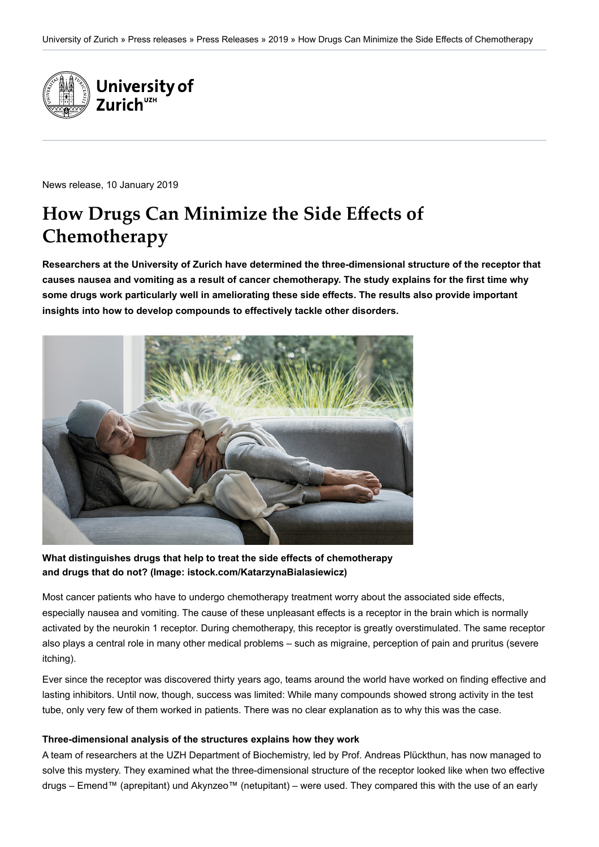

News release, 10 January 2019

# **How Drugs Can Minimize the Side Effects of Chemotherapy**

**Researchers at the University of Zurich have determined the three-dimensional structure of the receptor that causes nausea and vomiting as a result of cancer chemotherapy. The study explains for the first time why some drugs work particularly well in ameliorating these side effects. The results also provide important insights into how to develop compounds to effectively tackle other disorders.**



**What distinguishes drugs that help to treat the side effects of chemotherapy and drugs that do not? (Image: istock.com/KatarzynaBialasiewicz)**

Most cancer patients who have to undergo chemotherapy treatment worry about the associated side effects, especially nausea and vomiting. The cause of these unpleasant effects is a receptor in the brain which is normally activated by the neurokin 1 receptor. During chemotherapy, this receptor is greatly overstimulated. The same receptor also plays a central role in many other medical problems – such as migraine, perception of pain and pruritus (severe itching).

Ever since the receptor was discovered thirty years ago, teams around the world have worked on finding effective and lasting inhibitors. Until now, though, success was limited: While many compounds showed strong activity in the test tube, only very few of them worked in patients. There was no clear explanation as to why this was the case.

#### **Three-dimensional analysis of the structures explains how they work**

A team of researchers at the UZH Department of Biochemistry, led by Prof. Andreas Plückthun, has now managed to solve this mystery. They examined what the three-dimensional structure of the receptor looked like when two effective drugs – Emend™ (aprepitant) und Akynzeo™ (netupitant) – were used. They compared this with the use of an early